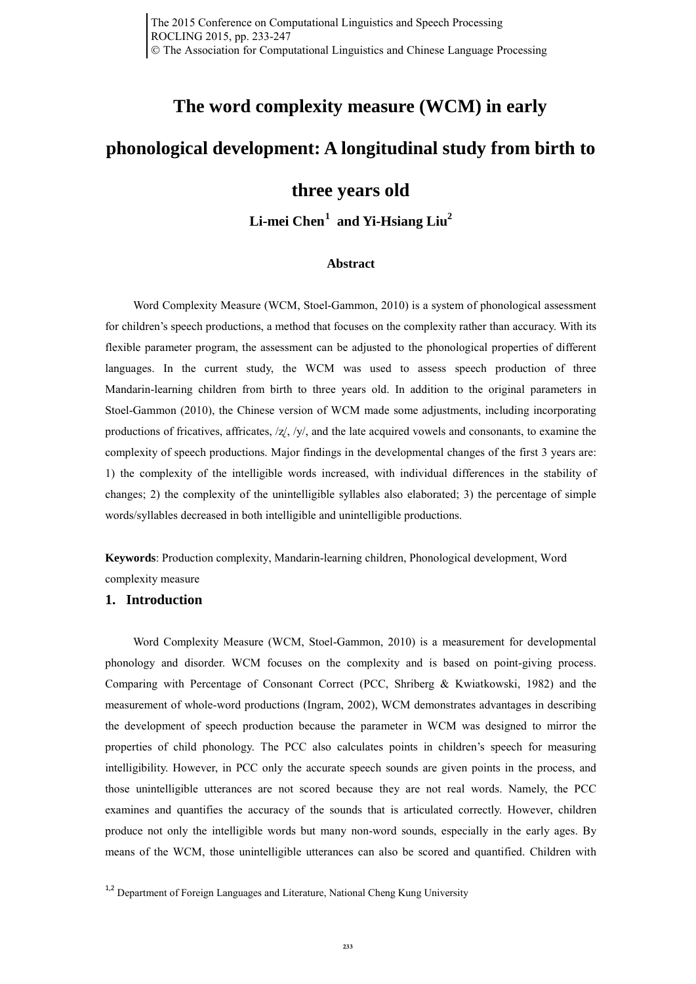# **The word complexity measure (WCM) in early**

# **phonological development: A longitudinal study from birth to**

# **three years old**

**Li-mei Chen[1](#page-0-0) and Yi-Hsiang Liu2**

## **Abstract**

Word Complexity Measure (WCM, Stoel-Gammon, 2010) is a system of phonological assessment for children's speech productions, a method that focuses on the complexity rather than accuracy. With its flexible parameter program, the assessment can be adjusted to the phonological properties of different languages. In the current study, the WCM was used to assess speech production of three Mandarin-learning children from birth to three years old. In addition to the original parameters in Stoel-Gammon (2010), the Chinese version of WCM made some adjustments, including incorporating productions of fricatives, affricates,  $\frac{z}{y}$ ,  $\frac{y}{y}$ , and the late acquired vowels and consonants, to examine the complexity of speech productions. Major findings in the developmental changes of the first 3 years are: 1) the complexity of the intelligible words increased, with individual differences in the stability of changes; 2) the complexity of the unintelligible syllables also elaborated; 3) the percentage of simple words/syllables decreased in both intelligible and unintelligible productions.

**Keywords**: Production complexity, Mandarin-learning children, Phonological development, Word complexity measure

## **1. Introduction**

Word Complexity Measure (WCM, Stoel-Gammon, 2010) is a measurement for developmental phonology and disorder. WCM focuses on the complexity and is based on point-giving process. Comparing with Percentage of Consonant Correct (PCC, Shriberg & Kwiatkowski, 1982) and the measurement of whole-word productions (Ingram, 2002), WCM demonstrates advantages in describing the development of speech production because the parameter in WCM was designed to mirror the properties of child phonology. The PCC also calculates points in children's speech for measuring intelligibility. However, in PCC only the accurate speech sounds are given points in the process, and those unintelligible utterances are not scored because they are not real words. Namely, the PCC examines and quantifies the accuracy of the sounds that is articulated correctly. However, children produce not only the intelligible words but many non-word sounds, especially in the early ages. By means of the WCM, those unintelligible utterances can also be scored and quantified. Children with

<span id="page-0-0"></span><sup>&</sup>lt;sup>1,2</sup> Department of Foreign Languages and Literature, National Cheng Kung University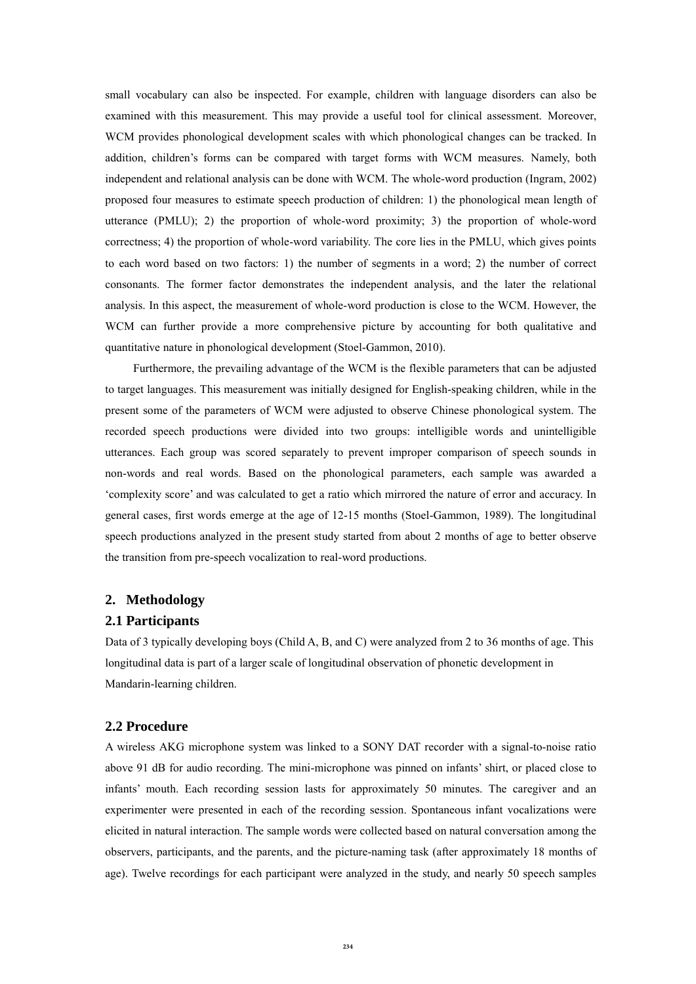small vocabulary can also be inspected. For example, children with language disorders can also be examined with this measurement. This may provide a useful tool for clinical assessment. Moreover, WCM provides phonological development scales with which phonological changes can be tracked. In addition, children's forms can be compared with target forms with WCM measures. Namely, both independent and relational analysis can be done with WCM. The whole-word production (Ingram, 2002) proposed four measures to estimate speech production of children: 1) the phonological mean length of utterance (PMLU); 2) the proportion of whole-word proximity; 3) the proportion of whole-word correctness; 4) the proportion of whole-word variability. The core lies in the PMLU, which gives points to each word based on two factors: 1) the number of segments in a word; 2) the number of correct consonants. The former factor demonstrates the independent analysis, and the later the relational analysis. In this aspect, the measurement of whole-word production is close to the WCM. However, the WCM can further provide a more comprehensive picture by accounting for both qualitative and quantitative nature in phonological development (Stoel-Gammon, 2010).

Furthermore, the prevailing advantage of the WCM is the flexible parameters that can be adjusted to target languages. This measurement was initially designed for English-speaking children, while in the present some of the parameters of WCM were adjusted to observe Chinese phonological system. The recorded speech productions were divided into two groups: intelligible words and unintelligible utterances. Each group was scored separately to prevent improper comparison of speech sounds in non-words and real words. Based on the phonological parameters, each sample was awarded a 'complexity score' and was calculated to get a ratio which mirrored the nature of error and accuracy. In general cases, first words emerge at the age of 12-15 months (Stoel-Gammon, 1989). The longitudinal speech productions analyzed in the present study started from about 2 months of age to better observe the transition from pre-speech vocalization to real-word productions.

# **2. Methodology**

## **2.1 Participants**

Data of 3 typically developing boys (Child A, B, and C) were analyzed from 2 to 36 months of age. This longitudinal data is part of a larger scale of longitudinal observation of phonetic development in Mandarin-learning children.

## **2.2 Procedure**

A wireless AKG microphone system was linked to a SONY DAT recorder with a signal-to-noise ratio above 91 dB for audio recording. The mini-microphone was pinned on infants' shirt, or placed close to infants' mouth. Each recording session lasts for approximately 50 minutes. The caregiver and an experimenter were presented in each of the recording session. Spontaneous infant vocalizations were elicited in natural interaction. The sample words were collected based on natural conversation among the observers, participants, and the parents, and the picture-naming task (after approximately 18 months of age). Twelve recordings for each participant were analyzed in the study, and nearly 50 speech samples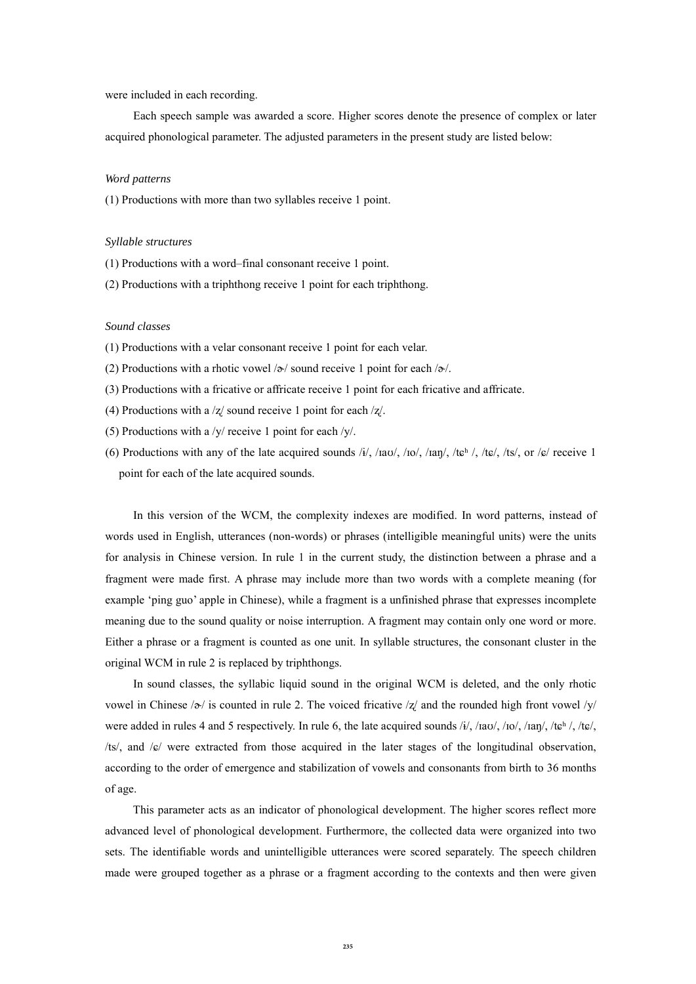were included in each recording.

Each speech sample was awarded a score. Higher scores denote the presence of complex or later acquired phonological parameter. The adjusted parameters in the present study are listed below:

#### *Word patterns*

(1) Productions with more than two syllables receive 1 point.

#### *Syllable structures*

- (1) Productions with a word–final consonant receive 1 point.
- (2) Productions with a triphthong receive 1 point for each triphthong.

### *Sound classes*

- (1) Productions with a velar consonant receive 1 point for each velar.
- (2) Productions with a rhotic vowel  $\alpha$  sound receive 1 point for each  $\alpha$ .
- (3) Productions with a fricative or affricate receive 1 point for each fricative and affricate.
- (4) Productions with a /ʐ/ sound receive 1 point for each /ʐ/.
- (5) Productions with a /y/ receive 1 point for each /y/.
- (6) Productions with any of the late acquired sounds /i/, /iav/, /io/, /ian/, /teh /, /te/, /ts/, or /e/ receive 1 point for each of the late acquired sounds.

In this version of the WCM, the complexity indexes are modified. In word patterns, instead of words used in English, utterances (non-words) or phrases (intelligible meaningful units) were the units for analysis in Chinese version. In rule 1 in the current study, the distinction between a phrase and a fragment were made first. A phrase may include more than two words with a complete meaning (for example 'ping guo' apple in Chinese), while a fragment is a unfinished phrase that expresses incomplete meaning due to the sound quality or noise interruption. A fragment may contain only one word or more. Either a phrase or a fragment is counted as one unit. In syllable structures, the consonant cluster in the original WCM in rule 2 is replaced by triphthongs.

In sound classes, the syllabic liquid sound in the original WCM is deleted, and the only rhotic vowel in Chinese / $\sigma$ / is counted in rule 2. The voiced fricative /z/ and the rounded high front vowel /y/ were added in rules 4 and 5 respectively. In rule 6, the late acquired sounds /i/, /iao/, /io/, /ian/, /te $^h$ /, /te/, /ts/, and /ɕ/ were extracted from those acquired in the later stages of the longitudinal observation, according to the order of emergence and stabilization of vowels and consonants from birth to 36 months of age.

This parameter acts as an indicator of phonological development. The higher scores reflect more advanced level of phonological development. Furthermore, the collected data were organized into two sets. The identifiable words and unintelligible utterances were scored separately. The speech children made were grouped together as a phrase or a fragment according to the contexts and then were given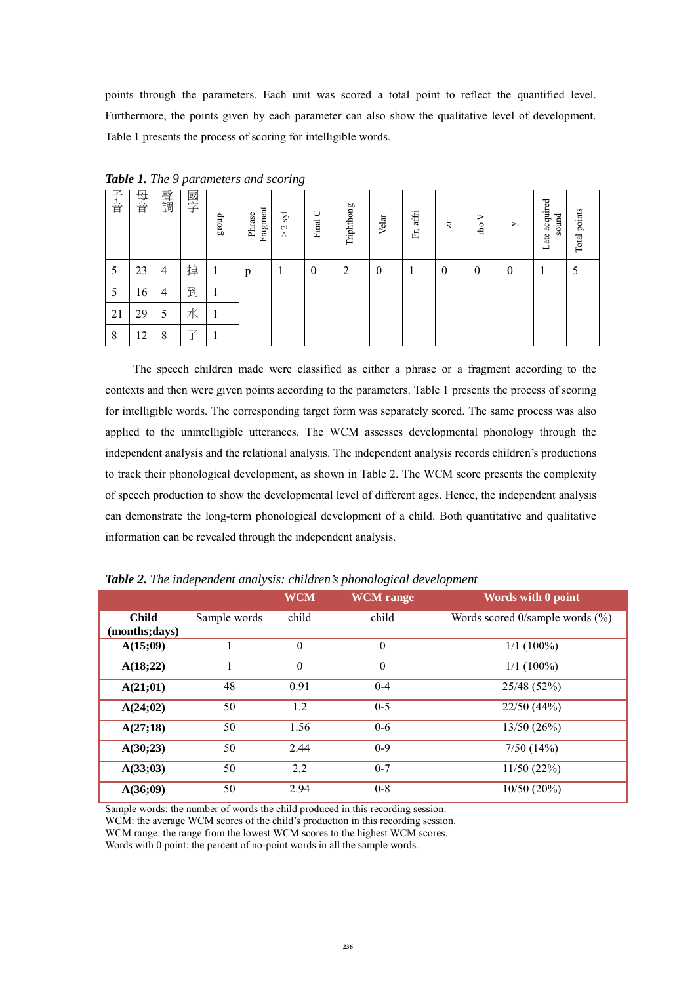points through the parameters. Each unit was scored a total point to reflect the quantified level. Furthermore, the points given by each parameter can also show the qualitative level of development. Table 1 presents the process of scoring for intelligible words.

| 구<br>音 | 母音 | 聲調 | 國字 | group        | Fragment<br>Phrase | ΣÎ<br>$\sim$<br>$\wedge$ | ◡<br>Final | Triphthong     | Velar    | $\rm Fr, \,affri$ | Ħ            | ⋗<br>rho         | $\rightarrow$ | ate acquired<br>sound<br>ᆜ | Total points |
|--------|----|----|----|--------------|--------------------|--------------------------|------------|----------------|----------|-------------------|--------------|------------------|---------------|----------------------------|--------------|
| 5      | 23 | 4  | 掉  | $\mathbf{I}$ | p                  | $\mathbf{I}$             | $\theta$   | $\overline{2}$ | $\theta$ | 1                 | $\mathbf{0}$ | $\boldsymbol{0}$ | $\bf{0}$      |                            |              |
|        | 16 | 4  | 到  |              |                    |                          |            |                |          |                   |              |                  |               |                            |              |
| 21     | 29 | 5  | 水  |              |                    |                          |            |                |          |                   |              |                  |               |                            |              |
| 8      | 12 | 8  |    |              |                    |                          |            |                |          |                   |              |                  |               |                            |              |

*Table 1. The 9 parameters and scoring*

 The speech children made were classified as either a phrase or a fragment according to the contexts and then were given points according to the parameters. Table 1 presents the process of scoring for intelligible words. The corresponding target form was separately scored. The same process was also applied to the unintelligible utterances. The WCM assesses developmental phonology through the independent analysis and the relational analysis. The independent analysis records children's productions to track their phonological development, as shown in Table 2. The WCM score presents the complexity of speech production to show the developmental level of different ages. Hence, the independent analysis can demonstrate the long-term phonological development of a child. Both quantitative and qualitative information can be revealed through the independent analysis.

|                |              | <b>WCM</b>     | <b>WCM</b> range | Words with 0 point                     |
|----------------|--------------|----------------|------------------|----------------------------------------|
| <b>Child</b>   | Sample words | child          | child            | Words scored $0$ /sample words $(\%$ ) |
| (months; days) |              |                |                  |                                        |
| A(15;09)       |              | $\overline{0}$ | $\theta$         | $1/1(100\%)$                           |
| A(18;22)       |              | $\theta$       | $\boldsymbol{0}$ | $1/1(100\%)$                           |
| A(21;01)       | 48           | 0.91           | $0 - 4$          | 25/48 (52%)                            |
| A(24;02)       | 50           | 1.2            | $0 - 5$          | 22/50(44%)                             |
| A(27;18)       | 50           | 1.56           | $0-6$            | 13/50(26%)                             |
| A(30;23)       | 50           | 2.44           | $0-9$            | 7/50(14%)                              |
| A(33;03)       | 50           | 2.2            | $0 - 7$          | 11/50(22%)                             |
| A(36;09)       | 50           | 2.94           | $0 - 8$          | 10/50(20%)                             |

*Table 2. The independent analysis: children's phonological development*

Sample words: the number of words the child produced in this recording session.

WCM: the average WCM scores of the child's production in this recording session.

WCM range: the range from the lowest WCM scores to the highest WCM scores.

Words with 0 point: the percent of no-point words in all the sample words.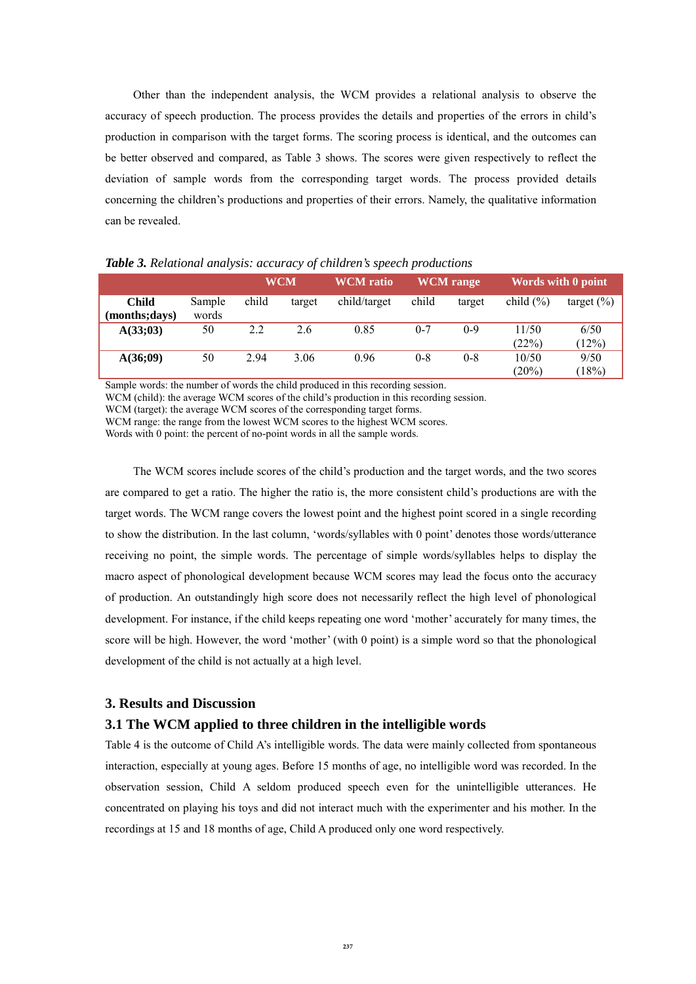Other than the independent analysis, the WCM provides a relational analysis to observe the accuracy of speech production. The process provides the details and properties of the errors in child's production in comparison with the target forms. The scoring process is identical, and the outcomes can be better observed and compared, as Table 3 shows. The scores were given respectively to reflect the deviation of sample words from the corresponding target words. The process provided details concerning the children's productions and properties of their errors. Namely, the qualitative information can be revealed.

|                               |                 |       | <b>WCM</b> | <b>WCM</b> ratio |         | <b>WCM</b> range |                | Words with 0 point |
|-------------------------------|-----------------|-------|------------|------------------|---------|------------------|----------------|--------------------|
| <b>Child</b><br>(months;days) | Sample<br>words | child | target     | child/target     | child   | target           | child $(\% )$  | target $(\% )$     |
| A(33;03)                      | 50              | 2.2   | 2.6        | 0.85             | $0 - 7$ | $0-9$            | 11/50<br>(22%) | 6/50<br>(12%)      |
| A(36;09)                      | 50              | 2.94  | 3.06       | 0.96             | $0 - 8$ | $0 - 8$          | 10/50<br>(20%) | 9/50<br>(18%)      |

*Table 3. Relational analysis: accuracy of children's speech productions*

Sample words: the number of words the child produced in this recording session.

WCM (child): the average WCM scores of the child's production in this recording session.

WCM (target): the average WCM scores of the corresponding target forms.

WCM range: the range from the lowest WCM scores to the highest WCM scores.

Words with 0 point: the percent of no-point words in all the sample words.

The WCM scores include scores of the child's production and the target words, and the two scores are compared to get a ratio. The higher the ratio is, the more consistent child's productions are with the target words. The WCM range covers the lowest point and the highest point scored in a single recording to show the distribution. In the last column, 'words/syllables with 0 point' denotes those words/utterance receiving no point, the simple words. The percentage of simple words/syllables helps to display the macro aspect of phonological development because WCM scores may lead the focus onto the accuracy of production. An outstandingly high score does not necessarily reflect the high level of phonological development. For instance, if the child keeps repeating one word 'mother' accurately for many times, the score will be high. However, the word 'mother' (with 0 point) is a simple word so that the phonological development of the child is not actually at a high level.

# **3. Results and Discussion**

# **3.1 The WCM applied to three children in the intelligible words**

Table 4 is the outcome of Child A's intelligible words. The data were mainly collected from spontaneous interaction, especially at young ages. Before 15 months of age, no intelligible word was recorded. In the observation session, Child A seldom produced speech even for the unintelligible utterances. He concentrated on playing his toys and did not interact much with the experimenter and his mother. In the recordings at 15 and 18 months of age, Child A produced only one word respectively.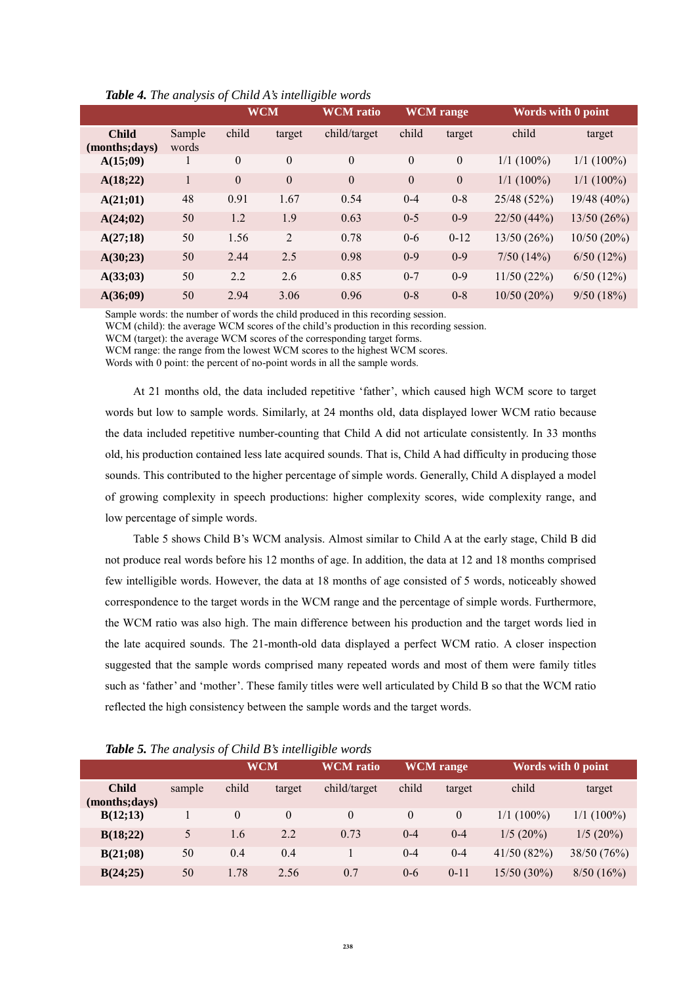|                                |                 |              | <b>WCM</b>     | <b>WCM</b> ratio |              | <b>WCM</b> range |              | Words with 0 point |
|--------------------------------|-----------------|--------------|----------------|------------------|--------------|------------------|--------------|--------------------|
| <b>Child</b><br>(months; days) | Sample<br>words | child        | target         | child/target     | child        | target           | child        | target             |
| A(15;09)                       | 1               | $\mathbf{0}$ | $\theta$       | $\theta$         | $\mathbf{0}$ | $\mathbf{0}$     | $1/1(100\%)$ | $1/1(100\%)$       |
| A(18;22)                       | 1               | $\theta$     | $\overline{0}$ | $\overline{0}$   | $\theta$     | $\mathbf{0}$     | $1/1$ (100%) | $1/1 (100\%)$      |
| A(21;01)                       | 48              | 0.91         | 1.67           | 0.54             | $0 - 4$      | $0 - 8$          | 25/48 (52%)  | 19/48 (40%)        |
| A(24;02)                       | 50              | 1.2          | 1.9            | 0.63             | $0 - 5$      | $0-9$            | 22/50(44%)   | 13/50(26%)         |
| A(27;18)                       | 50              | 1.56         | 2              | 0.78             | $0 - 6$      | $0 - 12$         | 13/50(26%)   | $10/50(20\%)$      |
| A(30;23)                       | 50              | 2.44         | 2.5            | 0.98             | $0 - 9$      | $0-9$            | 7/50(14%)    | 6/50(12%)          |
| A(33;03)                       | 50              | 2.2          | 2.6            | 0.85             | $0 - 7$      | $0-9$            | 11/50(22%)   | 6/50(12%)          |
| A(36;09)                       | 50              | 2.94         | 3.06           | 0.96             | $0 - 8$      | $0 - 8$          | 10/50(20%)   | 9/50(18%)          |

*Table 4. The analysis of Child A's intelligible words*

Sample words: the number of words the child produced in this recording session.

WCM (child): the average WCM scores of the child's production in this recording session.

WCM (target): the average WCM scores of the corresponding target forms.

WCM range: the range from the lowest WCM scores to the highest WCM scores.

Words with 0 point: the percent of no-point words in all the sample words.

At 21 months old, the data included repetitive 'father', which caused high WCM score to target words but low to sample words. Similarly, at 24 months old, data displayed lower WCM ratio because the data included repetitive number-counting that Child A did not articulate consistently. In 33 months old, his production contained less late acquired sounds. That is, Child A had difficulty in producing those sounds. This contributed to the higher percentage of simple words. Generally, Child A displayed a model of growing complexity in speech productions: higher complexity scores, wide complexity range, and low percentage of simple words.

Table 5 shows Child B's WCM analysis. Almost similar to Child A at the early stage, Child B did not produce real words before his 12 months of age. In addition, the data at 12 and 18 months comprised few intelligible words. However, the data at 18 months of age consisted of 5 words, noticeably showed correspondence to the target words in the WCM range and the percentage of simple words. Furthermore, the WCM ratio was also high. The main difference between his production and the target words lied in the late acquired sounds. The 21-month-old data displayed a perfect WCM ratio. A closer inspection suggested that the sample words comprised many repeated words and most of them were family titles such as 'father' and 'mother'. These family titles were well articulated by Child B so that the WCM ratio reflected the high consistency between the sample words and the target words.

|                                | <b>TWO TO THE UNION STATE OF CHINA D</b> S INTERFACTOR HOTELS |          |          |                  |                  |          |                    |              |  |  |
|--------------------------------|---------------------------------------------------------------|----------|----------|------------------|------------------|----------|--------------------|--------------|--|--|
|                                |                                                               |          | WCM      | <b>WCM</b> ratio | <b>WCM</b> range |          | Words with 0 point |              |  |  |
| <b>Child</b><br>(months; days) | sample                                                        | child    | target   | child/target     | child            | target   | child              | target       |  |  |
| B(12;13)                       |                                                               | $\theta$ | $\theta$ | $\theta$         | $\theta$         | $\theta$ | $1/1(100\%)$       | $1/1(100\%)$ |  |  |
| B(18;22)                       | 5                                                             | 1.6      | 2.2      | 0.73             | $0 - 4$          | $0 - 4$  | $1/5(20\%)$        | 1/5(20%)     |  |  |
| B(21;08)                       | 50                                                            | 0.4      | 0.4      |                  | $0 - 4$          | $0 - 4$  | 41/50(82%)         | 38/50 (76%)  |  |  |
| B(24;25)                       | 50                                                            | 1.78     | 2.56     | 0.7              | $0 - 6$          | $0 - 11$ | $15/50(30\%)$      | 8/50(16%)    |  |  |

*Table 5. The analysis of Child B's intelligible words*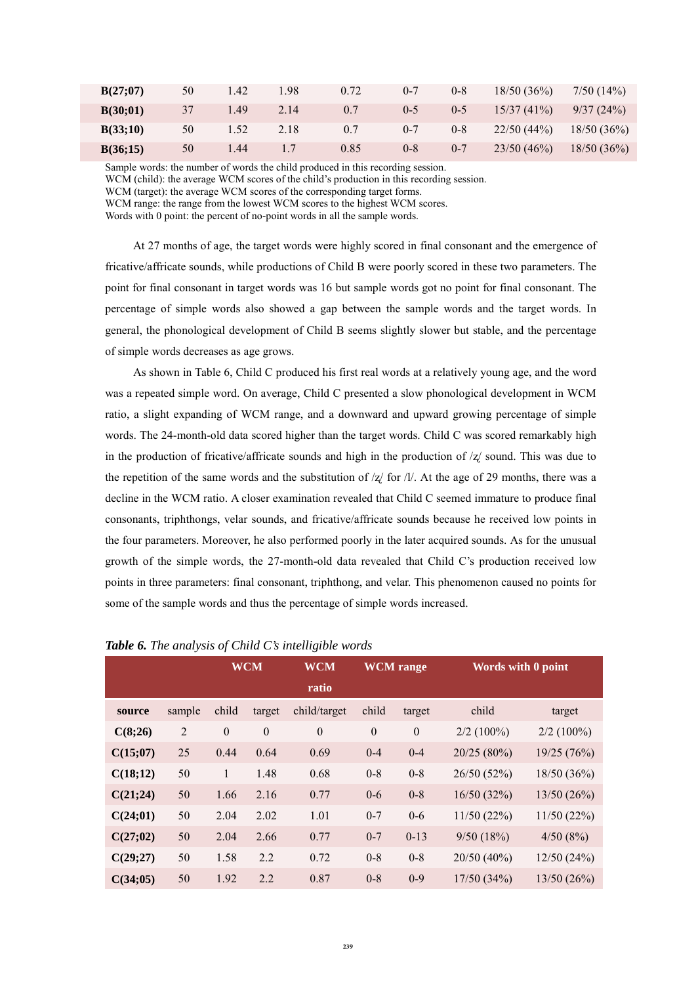| B(27;07) | 50 | .42  | .98  | 0.72 | $0 - 7$ | $0 - 8$ | 18/50(36%) | 7/50(14%)  |
|----------|----|------|------|------|---------|---------|------------|------------|
| B(30;01) | 37 | . 49 | 2.14 | 0.7  | $0 - 5$ | 0.5     | 15/37(41%) | 9/37(24%)  |
| B(33;10) | 50 | l.52 | 2.18 | 0.7  | $0 - 7$ | $0 - 8$ | 22/50(44%) | 18/50(36%) |
| B(36;15) | 50 | . 44 |      | 0.85 | $0 - 8$ | $0 - 7$ | 23/50(46%) | 18/50(36%) |

Sample words: the number of words the child produced in this recording session.

WCM (child): the average WCM scores of the child's production in this recording session.

WCM range: the range from the lowest WCM scores to the highest WCM scores.

Words with 0 point: the percent of no-point words in all the sample words.

At 27 months of age, the target words were highly scored in final consonant and the emergence of fricative/affricate sounds, while productions of Child B were poorly scored in these two parameters. The point for final consonant in target words was 16 but sample words got no point for final consonant. The percentage of simple words also showed a gap between the sample words and the target words. In general, the phonological development of Child B seems slightly slower but stable, and the percentage of simple words decreases as age grows.

As shown in Table 6, Child C produced his first real words at a relatively young age, and the word was a repeated simple word. On average, Child C presented a slow phonological development in WCM ratio, a slight expanding of WCM range, and a downward and upward growing percentage of simple words. The 24-month-old data scored higher than the target words. Child C was scored remarkably high in the production of fricative/affricate sounds and high in the production of  $\frac{z}{z}$  sound. This was due to the repetition of the same words and the substitution of  $\frac{z}{z}$  for  $\frac{N}{z}$ . At the age of 29 months, there was a decline in the WCM ratio. A closer examination revealed that Child C seemed immature to produce final consonants, triphthongs, velar sounds, and fricative/affricate sounds because he received low points in the four parameters. Moreover, he also performed poorly in the later acquired sounds. As for the unusual growth of the simple words, the 27-month-old data revealed that Child C's production received low points in three parameters: final consonant, triphthong, and velar. This phenomenon caused no points for some of the sample words and thus the percentage of simple words increased.

|          |        | <b>WCM</b>   |              | <b>WCM</b>   | <b>WCM</b> range |              | Words with 0 point |              |
|----------|--------|--------------|--------------|--------------|------------------|--------------|--------------------|--------------|
|          |        |              |              | ratio        |                  |              |                    |              |
| source   | sample | child        | target       | child/target | child            | target       | child              | target       |
| C(8;26)  | 2      | $\mathbf{0}$ | $\mathbf{0}$ | $\theta$     | $\boldsymbol{0}$ | $\mathbf{0}$ | $2/2(100\%)$       | $2/2$ (100%) |
| C(15;07) | 25     | 0.44         | 0.64         | 0.69         | $0 - 4$          | $0 - 4$      | 20/25 (80%)        | 19/25(76%)   |
| C(18;12) | 50     | 1            | 1.48         | 0.68         | $0 - 8$          | $0 - 8$      | 26/50 (52%)        | 18/50(36%)   |
| C(21;24) | 50     | 1.66         | 2.16         | 0.77         | $0 - 6$          | $0 - 8$      | 16/50(32%)         | 13/50(26%)   |
| C(24;01) | 50     | 2.04         | 2.02         | 1.01         | $0 - 7$          | $0 - 6$      | 11/50(22%)         | 11/50(22%)   |
| C(27;02) | 50     | 2.04         | 2.66         | 0.77         | $0 - 7$          | $0-13$       | 9/50(18%)          | 4/50(8%)     |
| C(29;27) | 50     | 1.58         | 2.2          | 0.72         | $0 - 8$          | $0 - 8$      | 20/50(40%)         | 12/50(24%)   |
| C(34;05) | 50     | 1.92         | 2.2          | 0.87         | $0 - 8$          | $0 - 9$      | 17/50(34%)         | 13/50(26%)   |

#### *Table 6. The analysis of Child C's intelligible words*

WCM (target): the average WCM scores of the corresponding target forms.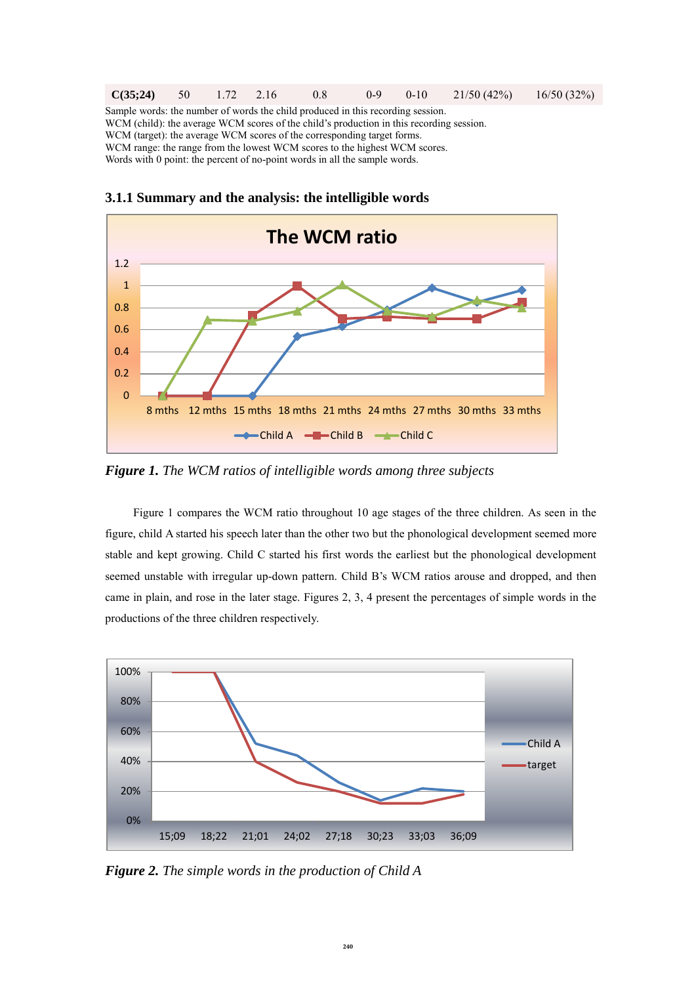| C(35:24)                                                                                 | $-50$                                                                   | $1.72 \quad 2.16$ |  | 0.8 | $0-9$ | $0-10$ | 21/50(42%) | 16/50(32%) |
|------------------------------------------------------------------------------------------|-------------------------------------------------------------------------|-------------------|--|-----|-------|--------|------------|------------|
| Sample words: the number of words the child produced in this recording session.          |                                                                         |                   |  |     |       |        |            |            |
| WCM (child); the average WCM scores of the child's production in this recording session. |                                                                         |                   |  |     |       |        |            |            |
|                                                                                          | WCM (target): the average WCM scores of the corresponding target forms. |                   |  |     |       |        |            |            |
| WCM range: the range from the lowest WCM scores to the highest WCM scores.               |                                                                         |                   |  |     |       |        |            |            |
| Words with 0 point: the percent of no-point words in all the sample words.               |                                                                         |                   |  |     |       |        |            |            |



**3.1.1 Summary and the analysis: the intelligible words**

*Figure 1. The WCM ratios of intelligible words among three subjects* 

Figure 1 compares the WCM ratio throughout 10 age stages of the three children. As seen in the figure, child A started his speech later than the other two but the phonological development seemed more stable and kept growing. Child C started his first words the earliest but the phonological development seemed unstable with irregular up-down pattern. Child B's WCM ratios arouse and dropped, and then came in plain, and rose in the later stage. Figures 2, 3, 4 present the percentages of simple words in the productions of the three children respectively.



*Figure 2. The simple words in the production of Child A*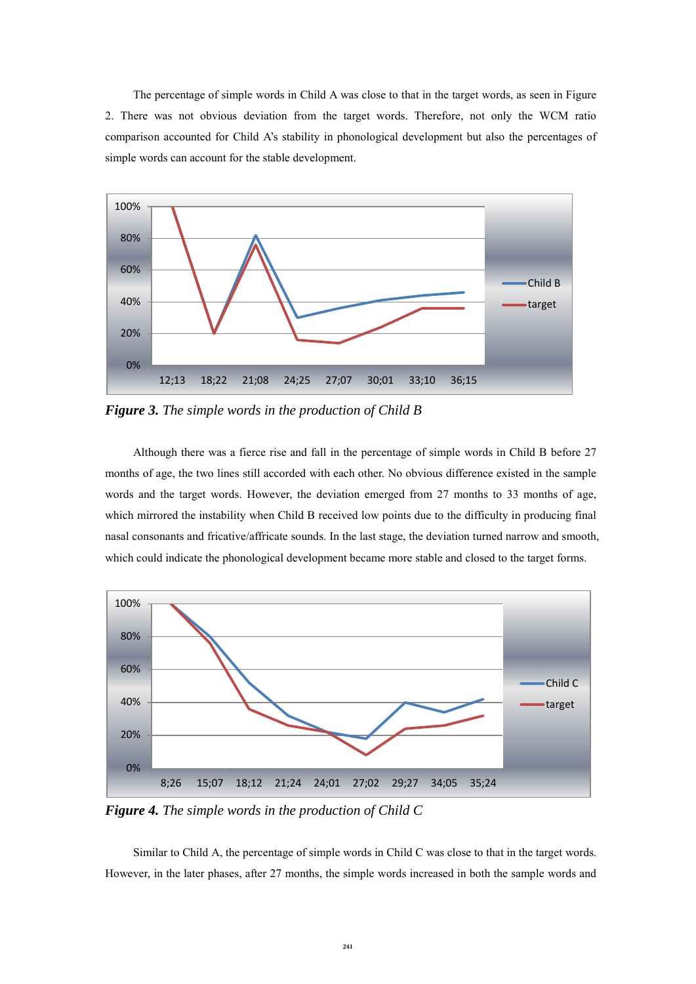The percentage of simple words in Child A was close to that in the target words, as seen in Figure 2. There was not obvious deviation from the target words. Therefore, not only the WCM ratio comparison accounted for Child A's stability in phonological development but also the percentages of simple words can account for the stable development.



*Figure 3. The simple words in the production of Child B* 

Although there was a fierce rise and fall in the percentage of simple words in Child B before 27 months of age, the two lines still accorded with each other. No obvious difference existed in the sample words and the target words. However, the deviation emerged from 27 months to 33 months of age, which mirrored the instability when Child B received low points due to the difficulty in producing final nasal consonants and fricative/affricate sounds. In the last stage, the deviation turned narrow and smooth, which could indicate the phonological development became more stable and closed to the target forms.



*Figure 4. The simple words in the production of Child C* 

Similar to Child A, the percentage of simple words in Child C was close to that in the target words. However, in the later phases, after 27 months, the simple words increased in both the sample words and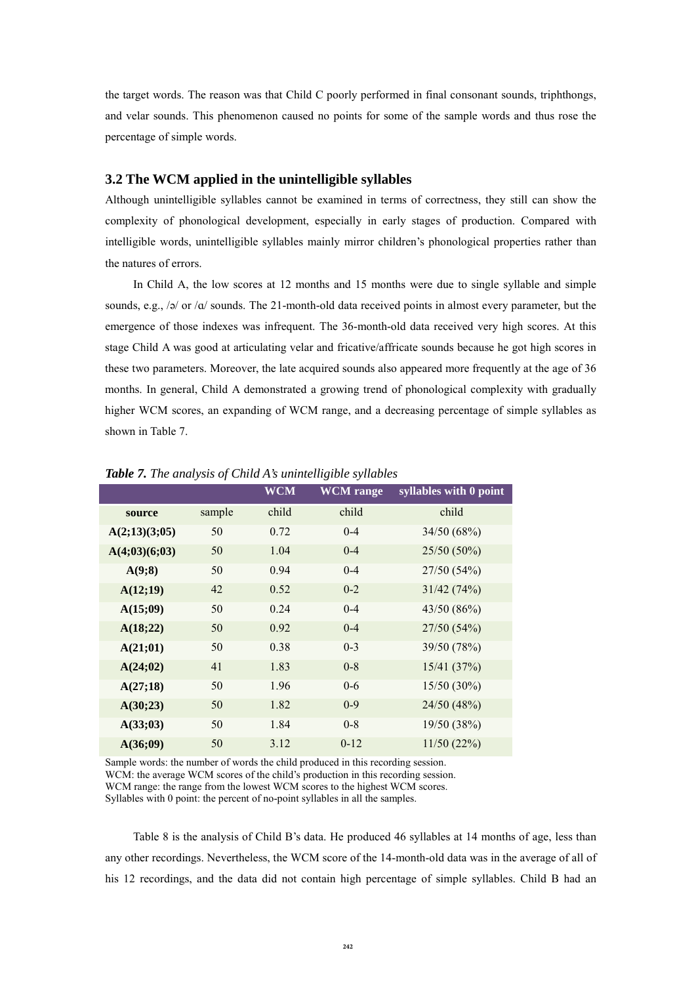the target words. The reason was that Child C poorly performed in final consonant sounds, triphthongs, and velar sounds. This phenomenon caused no points for some of the sample words and thus rose the percentage of simple words.

## **3.2 The WCM applied in the unintelligible syllables**

Although unintelligible syllables cannot be examined in terms of correctness, they still can show the complexity of phonological development, especially in early stages of production. Compared with intelligible words, unintelligible syllables mainly mirror children's phonological properties rather than the natures of errors.

In Child A, the low scores at 12 months and 15 months were due to single syllable and simple sounds, e.g., /ə/ or / $\alpha$ / sounds. The 21-month-old data received points in almost every parameter, but the emergence of those indexes was infrequent. The 36-month-old data received very high scores. At this stage Child A was good at articulating velar and fricative/affricate sounds because he got high scores in these two parameters. Moreover, the late acquired sounds also appeared more frequently at the age of 36 months. In general, Child A demonstrated a growing trend of phonological complexity with gradually higher WCM scores, an expanding of WCM range, and a decreasing percentage of simple syllables as shown in Table 7.

|               |        | <b>WCM</b> | <b>WCM</b> range | syllables with 0 point |
|---------------|--------|------------|------------------|------------------------|
| source        | sample | child      | child            | child                  |
| A(2;13)(3;05) | 50     | 0.72       | $0 - 4$          | 34/50 (68%)            |
| A(4;03)(6;03) | 50     | 1.04       | $0 - 4$          | 25/50 (50%)            |
| A(9;8)        | 50     | 0.94       | $0 - 4$          | 27/50 (54%)            |
| A(12;19)      | 42     | 0.52       | $0 - 2$          | 31/42(74%)             |
| A(15;09)      | 50     | 0.24       | $0 - 4$          | 43/50(86%)             |
| A(18;22)      | 50     | 0.92       | $0 - 4$          | 27/50 (54%)            |
| A(21;01)      | 50     | 0.38       | $0 - 3$          | 39/50 (78%)            |
| A(24;02)      | 41     | 1.83       | $0 - 8$          | 15/41(37%)             |
| A(27;18)      | 50     | 1.96       | $0 - 6$          | $15/50(30\%)$          |
| A(30;23)      | 50     | 1.82       | $0 - 9$          | 24/50 (48%)            |
| A(33;03)      | 50     | 1.84       | $0 - 8$          | 19/50 (38%)            |
| A(36;09)      | 50     | 3.12       | $0 - 12$         | 11/50(22%)             |

*Table 7. The analysis of Child A's unintelligible syllables*

Sample words: the number of words the child produced in this recording session. WCM: the average WCM scores of the child's production in this recording session. WCM range: the range from the lowest WCM scores to the highest WCM scores.

Syllables with 0 point: the percent of no-point syllables in all the samples.

Table 8 is the analysis of Child B's data. He produced 46 syllables at 14 months of age, less than any other recordings. Nevertheless, the WCM score of the 14-month-old data was in the average of all of his 12 recordings, and the data did not contain high percentage of simple syllables. Child B had an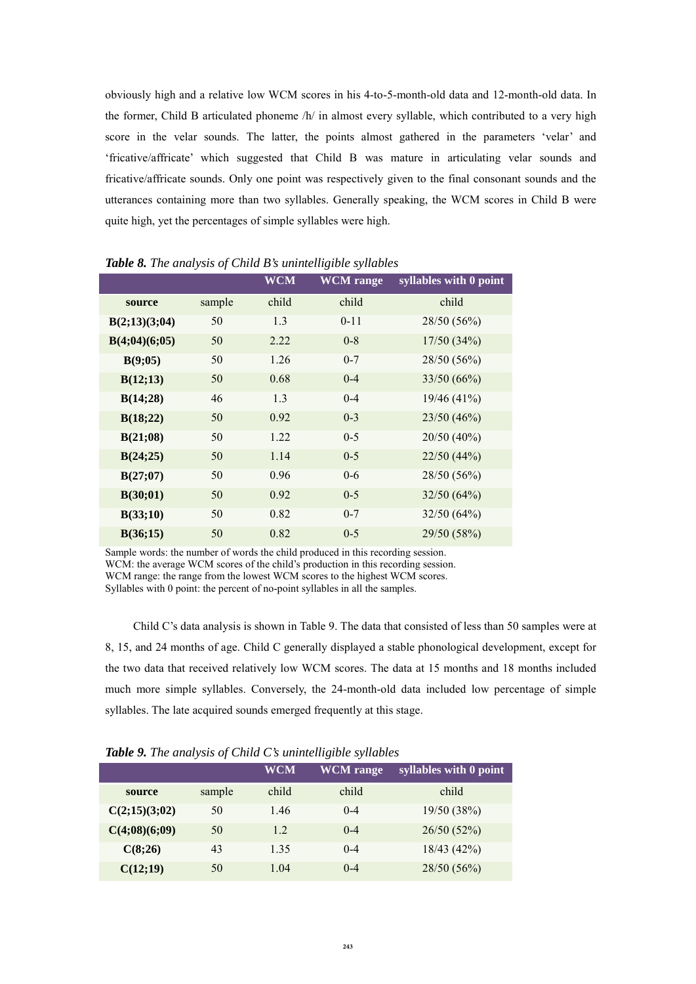obviously high and a relative low WCM scores in his 4-to-5-month-old data and 12-month-old data. In the former, Child B articulated phoneme /h/ in almost every syllable, which contributed to a very high score in the velar sounds. The latter, the points almost gathered in the parameters 'velar' and 'fricative/affricate' which suggested that Child B was mature in articulating velar sounds and fricative/affricate sounds. Only one point was respectively given to the final consonant sounds and the utterances containing more than two syllables. Generally speaking, the WCM scores in Child B were quite high, yet the percentages of simple syllables were high.

|               |        | <b>WCM</b> | <b>WCM</b> range | syllables with 0 point |
|---------------|--------|------------|------------------|------------------------|
| source        | sample | child      | child            | child                  |
| B(2;13)(3;04) | 50     | 1.3        | $0 - 11$         | 28/50 (56%)            |
| B(4;04)(6;05) | 50     | 2.22       | $0 - 8$          | 17/50(34%)             |
| B(9;05)       | 50     | 1.26       | $0 - 7$          | 28/50 (56%)            |
| B(12;13)      | 50     | 0.68       | $0 - 4$          | 33/50(66%)             |
| B(14;28)      | 46     | 1.3        | $0 - 4$          | 19/46(41%)             |
| B(18;22)      | 50     | 0.92       | $0 - 3$          | 23/50 (46%)            |
| B(21;08)      | 50     | 1.22       | $0-5$            | 20/50 (40%)            |
| B(24;25)      | 50     | 1.14       | $0-5$            | 22/50 (44%)            |
| B(27;07)      | 50     | 0.96       | $0 - 6$          | 28/50 (56%)            |
| B(30;01)      | 50     | 0.92       | $0-5$            | 32/50(64%)             |
| B(33;10)      | 50     | 0.82       | $0 - 7$          | 32/50(64%)             |
| B(36;15)      | 50     | 0.82       | $0 - 5$          | 29/50 (58%)            |

*Table 8. The analysis of Child B's unintelligible syllables*

Sample words: the number of words the child produced in this recording session. WCM: the average WCM scores of the child's production in this recording session. WCM range: the range from the lowest WCM scores to the highest WCM scores. Syllables with 0 point: the percent of no-point syllables in all the samples.

Child C's data analysis is shown in Table 9. The data that consisted of less than 50 samples were at 8, 15, and 24 months of age. Child C generally displayed a stable phonological development, except for the two data that received relatively low WCM scores. The data at 15 months and 18 months included much more simple syllables. Conversely, the 24-month-old data included low percentage of simple syllables. The late acquired sounds emerged frequently at this stage.

| <b>TWO WE SET THE UNIVERSITY OF CHINE C</b> B INTERFERENCE BY FIGURE 10 |        |            |                  |                        |  |  |  |  |  |
|-------------------------------------------------------------------------|--------|------------|------------------|------------------------|--|--|--|--|--|
|                                                                         |        | <b>WCM</b> | <b>WCM</b> range | syllables with 0 point |  |  |  |  |  |
| source                                                                  | sample | child      | child            | child                  |  |  |  |  |  |
| C(2;15)(3;02)                                                           | 50     | 1.46       | $0 - 4$          | 19/50 (38%)            |  |  |  |  |  |
| C(4;08)(6;09)                                                           | 50     | 1.2        | $0 - 4$          | 26/50(52%)             |  |  |  |  |  |
| C(8;26)                                                                 | 43     | 1.35       | $0 - 4$          | 18/43 (42%)            |  |  |  |  |  |
| C(12;19)                                                                | 50     | 1.04       | $0 - 4$          | 28/50 (56%)            |  |  |  |  |  |

*Table 9. The analysis of Child C's unintelligible syllables*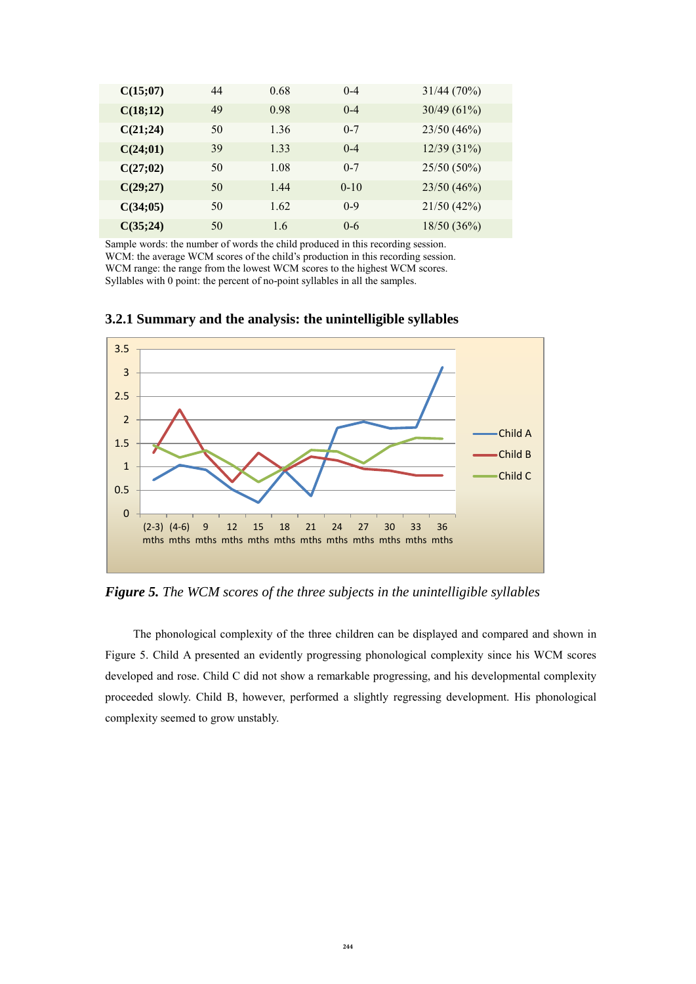| C(15;07) | 44 | 0.68 | $0 - 4$ | 31/44(70%)  |
|----------|----|------|---------|-------------|
| C(18;12) | 49 | 0.98 | $0 - 4$ | 30/49(61%)  |
| C(21;24) | 50 | 1.36 | $0 - 7$ | 23/50 (46%) |
| C(24;01) | 39 | 1.33 | $0 - 4$ | 12/39(31%)  |
| C(27;02) | 50 | 1.08 | $0 - 7$ | 25/50 (50%) |
| C(29;27) | 50 | 1.44 | $0-10$  | 23/50(46%)  |
| C(34;05) | 50 | 1.62 | $0-9$   | 21/50(42%)  |
| C(35;24) | 50 | 1.6  | $0 - 6$ | 18/50(36%)  |

Sample words: the number of words the child produced in this recording session. WCM: the average WCM scores of the child's production in this recording session. WCM range: the range from the lowest WCM scores to the highest WCM scores. Syllables with 0 point: the percent of no-point syllables in all the samples.



**3.2.1 Summary and the analysis: the unintelligible syllables**

*Figure 5. The WCM scores of the three subjects in the unintelligible syllables*

The phonological complexity of the three children can be displayed and compared and shown in Figure 5. Child A presented an evidently progressing phonological complexity since his WCM scores developed and rose. Child C did not show a remarkable progressing, and his developmental complexity proceeded slowly. Child B, however, performed a slightly regressing development. His phonological complexity seemed to grow unstably.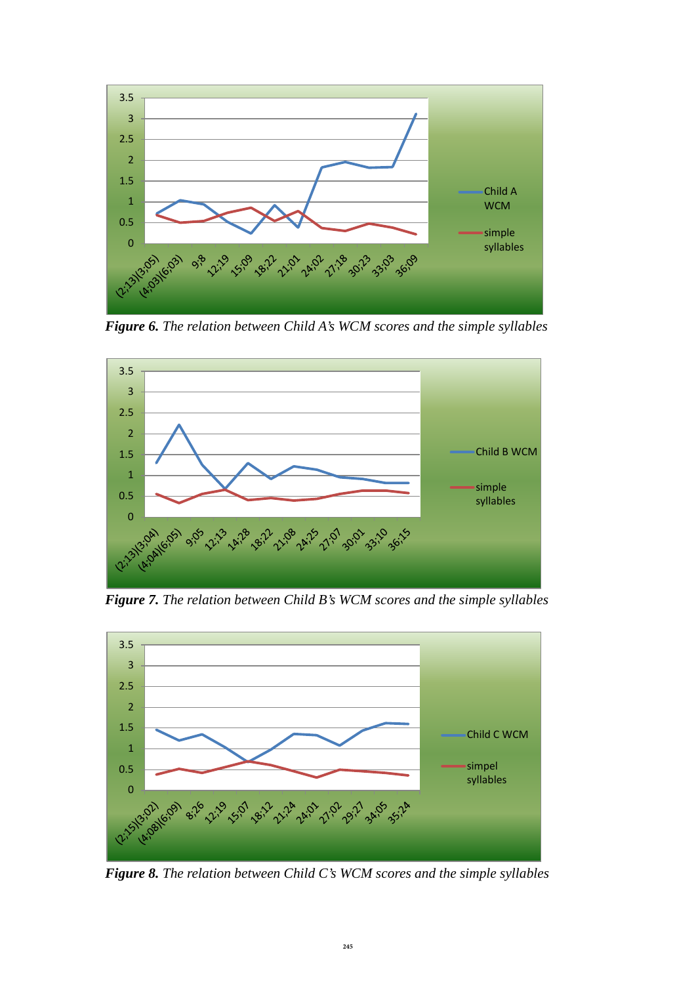

*Figure 6. The relation between Child A's WCM scores and the simple syllables* 



*Figure 7. The relation between Child B's WCM scores and the simple syllables* 



*Figure 8. The relation between Child C's WCM scores and the simple syllables*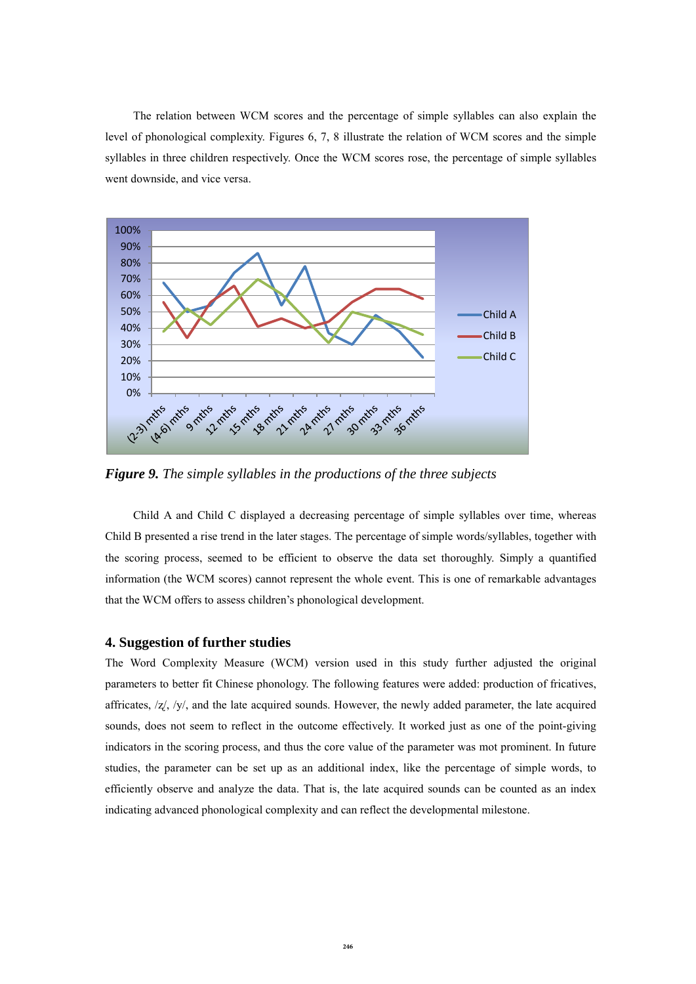The relation between WCM scores and the percentage of simple syllables can also explain the level of phonological complexity. Figures 6, 7, 8 illustrate the relation of WCM scores and the simple syllables in three children respectively. Once the WCM scores rose, the percentage of simple syllables went downside, and vice versa.



*Figure 9. The simple syllables in the productions of the three subjects* 

Child A and Child C displayed a decreasing percentage of simple syllables over time, whereas Child B presented a rise trend in the later stages. The percentage of simple words/syllables, together with the scoring process, seemed to be efficient to observe the data set thoroughly. Simply a quantified information (the WCM scores) cannot represent the whole event. This is one of remarkable advantages that the WCM offers to assess children's phonological development.

### **4. Suggestion of further studies**

The Word Complexity Measure (WCM) version used in this study further adjusted the original parameters to better fit Chinese phonology. The following features were added: production of fricatives, affricates,  $\frac{z}{z}$ ,  $\frac{y}{y}$ , and the late acquired sounds. However, the newly added parameter, the late acquired sounds, does not seem to reflect in the outcome effectively. It worked just as one of the point-giving indicators in the scoring process, and thus the core value of the parameter was mot prominent. In future studies, the parameter can be set up as an additional index, like the percentage of simple words, to efficiently observe and analyze the data. That is, the late acquired sounds can be counted as an index indicating advanced phonological complexity and can reflect the developmental milestone.